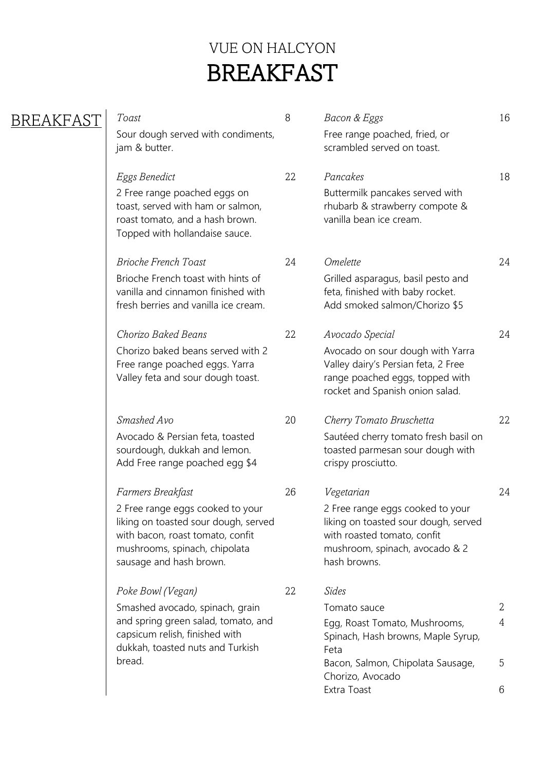## VUE ON HALCYON BREAKFAST

### BREAKFAST

Sour dough served with condiments, jam & butter.

2 Free range poached eggs on toast, served with ham or salmon, roast tomato, and a hash brown. Topped with hollandaise sauce.

Brioche French toast with hints of vanilla and cinnamon finished with fresh berries and vanilla ice cream.

Chorizo baked beans served with 2 Free range poached eggs. Yarra Valley feta and sour dough toast.

Avocado & Persian feta, toasted sourdough, dukkah and lemon. Add Free range poached egg \$4

2 Free range eggs cooked to your liking on toasted sour dough, served with bacon, roast tomato, confit mushrooms, spinach, chipolata sausage and hash brown.

### *Poke Bowl (Vegan)* 22 *Sides*

Smashed avocado, spinach, grain and spring green salad, tomato, and capsicum relish, finished with dukkah, toasted nuts and Turkish bread.

| Toast                              | Bacon & Eggs                  |  |
|------------------------------------|-------------------------------|--|
| Sour dough served with condiments, | Free range poached, fried, or |  |
| jam & butter.                      | scrambled served on toast.    |  |

- *Eggs Benedict* 22 *Pancakes* 18 Buttermilk pancakes served with rhubarb & strawberry compote & vanilla bean ice cream.
- *Brioche French Toast* 24 *Omelette* 24 Grilled asparagus, basil pesto and feta, finished with baby rocket. Add smoked salmon/Chorizo \$5
- *Chorizo Baked Beans* 22 *Avocado Special* 24 Avocado on sour dough with Yarra Valley dairy's Persian feta, 2 Free range poached eggs, topped with rocket and Spanish onion salad.
- *Smashed Avo* 20 *Cherry Tomato Bruschetta* 22 Sautéed cherry tomato fresh basil on toasted parmesan sour dough with crispy prosciutto.
- *Farmers Breakfast* 26 *Vegetarian* 24 2 Free range eggs cooked to your liking on toasted sour dough, served with roasted tomato, confit mushroom, spinach, avocado & 2 hash browns.
	-

| Tomato sauce                       |    |
|------------------------------------|----|
| Egg, Roast Tomato, Mushrooms,      |    |
| Spinach, Hash browns, Maple Syrup, |    |
| Feta                               |    |
| Bacon, Salmon, Chipolata Sausage,  | .ל |
| Chorizo, Avocado                   |    |
| Extra Toast                        |    |
|                                    |    |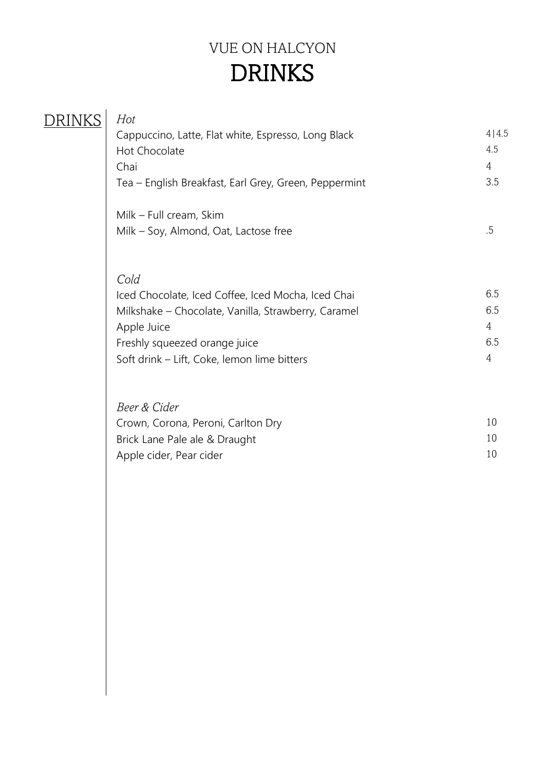# VUE ON HALCYON DRINKS

| Hot<br>Cappuccino, Latte, Flat white, Espresso, Long Black<br>Hot Chocolate<br>Chai<br>Tea - English Breakfast, Earl Grey, Green, Peppermint | 4 4.5<br>4.5<br>4<br>3.5 |
|----------------------------------------------------------------------------------------------------------------------------------------------|--------------------------|
| Milk - Full cream, Skim<br>Milk – Soy, Almond, Oat, Lactose free                                                                             | .5                       |
| Cold<br>Iced Chocolate, Iced Coffee, Iced Mocha, Iced Chai                                                                                   | 6.5                      |
| Milkshake - Chocolate, Vanilla, Strawberry, Caramel                                                                                          | 6.5                      |
| Apple Juice                                                                                                                                  | $\overline{4}$           |
| Freshly squeezed orange juice                                                                                                                | 6.5                      |
| Soft drink - Lift, Coke, lemon lime bitters                                                                                                  | $\overline{4}$           |
| Beer & Cider                                                                                                                                 |                          |
| Crown, Corona, Peroni, Carlton Dry                                                                                                           | 10                       |
| Brick Lane Pale ale & Draught                                                                                                                | 10                       |
| Apple cider, Pear cider                                                                                                                      | 10                       |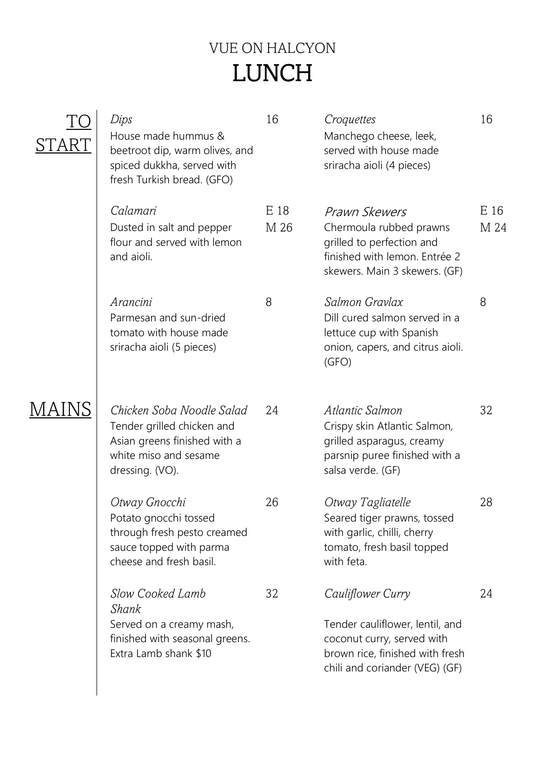# VUE ON HALCYON LUNCH

| Dips<br>House made hummus &<br>beetroot dip, warm olives, and<br>spiced dukkha, served with<br>fresh Turkish bread. (GFO)           | 16           | Croquettes<br>Manchego cheese, leek,<br>served with house made<br>sriracha aioli (4 pieces)                                                             | 16           |
|-------------------------------------------------------------------------------------------------------------------------------------|--------------|---------------------------------------------------------------------------------------------------------------------------------------------------------|--------------|
| Calamari<br>Dusted in salt and pepper<br>flour and served with lemon<br>and aioli.                                                  | E 18<br>M 26 | Prawn Skewers<br>Chermoula rubbed prawns<br>grilled to perfection and<br>finished with lemon. Entrée 2<br>skewers. Main 3 skewers. (GF)                 | E 16<br>M 24 |
| Arancini<br>Parmesan and sun-dried<br>tomato with house made<br>sriracha aioli (5 pieces)                                           | 8            | Salmon Gravlax<br>Dill cured salmon served in a<br>lettuce cup with Spanish<br>onion, capers, and citrus aioli.<br>(GFO)                                | 8            |
| Chicken Soba Noodle Salad<br>Tender grilled chicken and<br>Asian greens finished with a<br>white miso and sesame<br>dressing. (VO). | 24           | Atlantic Salmon<br>Crispy skin Atlantic Salmon,<br>grilled asparagus, creamy<br>parsnip puree finished with a<br>salsa verde. (GF)                      | 32           |
| Otway Gnocchi<br>Potato gnocchi tossed<br>through fresh pesto creamed<br>sauce topped with parma<br>cheese and fresh basil.         | 26           | Otway Tagliatelle<br>Seared tiger prawns, tossed<br>with garlic, chilli, cherry<br>tomato, fresh basil topped<br>with feta.                             | 28           |
| Slow Cooked Lamb<br>Shank<br>Served on a creamy mash,<br>finished with seasonal greens.<br>Extra Lamb shank \$10                    | 32           | Cauliflower Curry<br>Tender cauliflower, lentil, and<br>coconut curry, served with<br>brown rice, finished with fresh<br>chili and coriander (VEG) (GF) | 24           |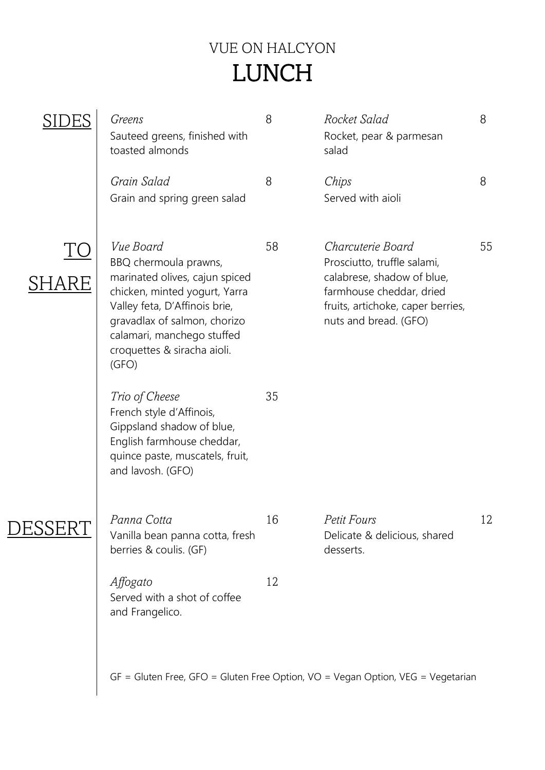# VUE ON HALCYON LUNCH

| Greens<br>Sauteed greens, finished with<br>toasted almonds                                                                                                                                                                                   | 8  | Rocket Salad<br>Rocket, pear & parmesan<br>salad                                                                                                                         | 8  |
|----------------------------------------------------------------------------------------------------------------------------------------------------------------------------------------------------------------------------------------------|----|--------------------------------------------------------------------------------------------------------------------------------------------------------------------------|----|
| Grain Salad<br>Grain and spring green salad                                                                                                                                                                                                  | 8  | Chips<br>Served with aioli                                                                                                                                               | 8  |
| Vue Board<br>BBQ chermoula prawns,<br>marinated olives, cajun spiced<br>chicken, minted yogurt, Yarra<br>Valley feta, D'Affinois brie,<br>gravadlax of salmon, chorizo<br>calamari, manchego stuffed<br>croquettes & siracha aioli.<br>(GFO) | 58 | Charcuterie Board<br>Prosciutto, truffle salami,<br>calabrese, shadow of blue,<br>farmhouse cheddar, dried<br>fruits, artichoke, caper berries,<br>nuts and bread. (GFO) | 55 |
| Trio of Cheese<br>French style d'Affinois,<br>Gippsland shadow of blue,<br>English farmhouse cheddar,<br>quince paste, muscatels, fruit,<br>and lavosh. (GFO)                                                                                | 35 |                                                                                                                                                                          |    |
| Panna Cotta<br>Vanilla bean panna cotta, fresh<br>berries & coulis. (GF)                                                                                                                                                                     | 16 | Petit Fours<br>Delicate & delicious, shared<br>desserts.                                                                                                                 | 12 |
| Affogato<br>Served with a shot of coffee<br>and Frangelico.                                                                                                                                                                                  | 12 |                                                                                                                                                                          |    |
|                                                                                                                                                                                                                                              |    | $GF = Gluten Free, GFO = Gluten Free Option, VO = Vegan Option, VEG = Vegetarian$                                                                                        |    |